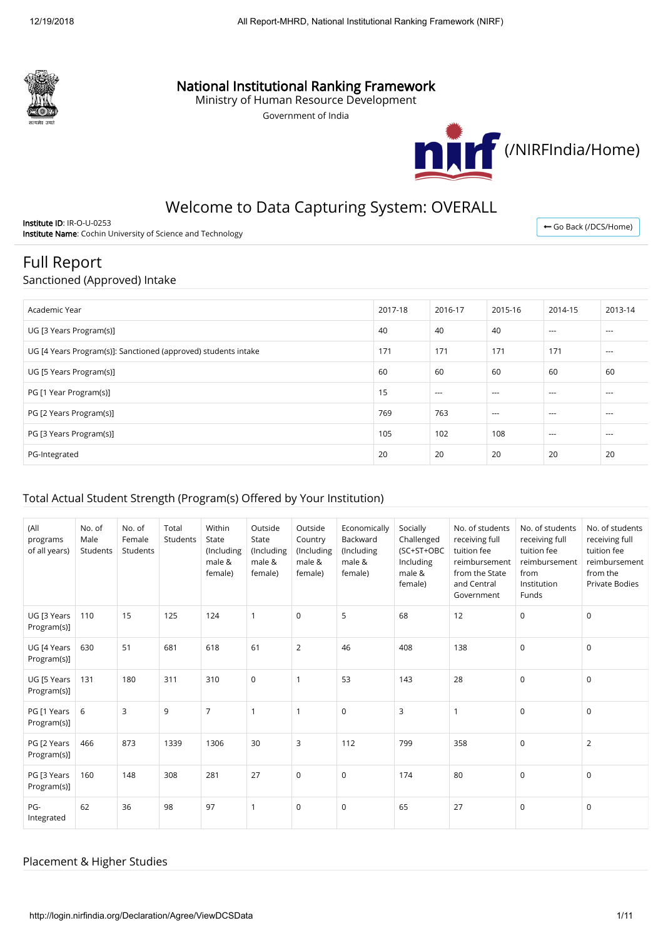

# National Institutional Ranking Framework

Ministry of Human Resource Development

Government of India



# Welcome to Data Capturing System: OVERALL

Institute ID: IR-O-U-0253 Institute Name: Cochin University of Science and Technology

← [Go Back \(/DCS/Home\)](http://login.nirfindia.org/DCS/Home)

# Full Report

### Sanctioned (Approved) Intake

| Academic Year                                                  | 2017-18 | 2016-17 | 2015-16  | 2014-15  | 2013-14  |
|----------------------------------------------------------------|---------|---------|----------|----------|----------|
| UG [3 Years Program(s)]                                        | 40      | 40      | 40       | $\cdots$ | $\cdots$ |
| UG [4 Years Program(s)]: Sanctioned (approved) students intake | 171     | 171     | 171      | 171      | $---$    |
| UG [5 Years Program(s)]                                        | 60      | 60      | 60       | 60       | 60       |
| PG [1 Year Program(s)]                                         | 15      | $---$   | $\cdots$ | $- - -$  | $- - -$  |
| PG [2 Years Program(s)]                                        | 769     | 763     | $---$    | $- - -$  | $- - -$  |
| PG [3 Years Program(s)]                                        | 105     | 102     | 108      | $\cdots$ | $\cdots$ |
| PG-Integrated                                                  | 20      | 20      | 20       | 20       | 20       |

## Total Actual Student Strength (Program(s) Offered by Your Institution)

| (All<br>programs<br>of all years) | No. of<br>Male<br>Students | No. of<br>Female<br>Students | Total<br>Students | Within<br>State<br>(Including<br>male &<br>female) | Outside<br>State<br>(Including<br>male &<br>female) | Outside<br>Country<br>(Including<br>male &<br>female) | Economically<br>Backward<br>(Including<br>male &<br>female) | Socially<br>Challenged<br>(SC+ST+OBC<br>Including<br>male &<br>female) | No. of students<br>receiving full<br>tuition fee<br>reimbursement<br>from the State<br>and Central<br>Government | No. of students<br>receiving full<br>tuition fee<br>reimbursement<br>from<br>Institution<br>Funds | No. of students<br>receiving full<br>tuition fee<br>reimbursement<br>from the<br><b>Private Bodies</b> |
|-----------------------------------|----------------------------|------------------------------|-------------------|----------------------------------------------------|-----------------------------------------------------|-------------------------------------------------------|-------------------------------------------------------------|------------------------------------------------------------------------|------------------------------------------------------------------------------------------------------------------|---------------------------------------------------------------------------------------------------|--------------------------------------------------------------------------------------------------------|
| UG [3 Years<br>Program(s)]        | 110                        | 15                           | 125               | 124                                                | $\mathbf{1}$                                        | $\mathbf 0$                                           | 5                                                           | 68                                                                     | 12                                                                                                               | $\mathbf 0$                                                                                       | $\mathbf 0$                                                                                            |
| UG [4 Years<br>Program(s)]        | 630                        | 51                           | 681               | 618                                                | 61                                                  | $\overline{2}$                                        | 46                                                          | 408                                                                    | 138                                                                                                              | $\mathbf 0$                                                                                       | $\mathsf 0$                                                                                            |
| UG [5 Years<br>Program(s)]        | 131                        | 180                          | 311               | 310                                                | $\mathbf 0$                                         | $\mathbf{1}$                                          | 53                                                          | 143                                                                    | 28                                                                                                               | $\mathbf 0$                                                                                       | $\mathbf 0$                                                                                            |
| PG [1 Years<br>Program(s)]        | 6                          | 3                            | 9                 | $\overline{7}$                                     | $\mathbf{1}$                                        | $\mathbf{1}$                                          | $\mathbf 0$                                                 | 3                                                                      | $\mathbf{1}$                                                                                                     | $\mathbf 0$                                                                                       | $\mathbf 0$                                                                                            |
| PG [2 Years<br>Program(s)]        | 466                        | 873                          | 1339              | 1306                                               | 30                                                  | 3                                                     | 112                                                         | 799                                                                    | 358                                                                                                              | $\mathbf 0$                                                                                       | $\overline{2}$                                                                                         |
| PG [3 Years<br>Program(s)]        | 160                        | 148                          | 308               | 281                                                | 27                                                  | $\mathbf 0$                                           | $\mathsf{O}$                                                | 174                                                                    | 80                                                                                                               | $\mathbf 0$                                                                                       | $\mathsf 0$                                                                                            |
| PG-<br>Integrated                 | 62                         | 36                           | 98                | 97                                                 | $\mathbf{1}$                                        | 0                                                     | $\mathbf 0$                                                 | 65                                                                     | 27                                                                                                               | $\mathbf 0$                                                                                       | $\mathbf 0$                                                                                            |

### Placement & Higher Studies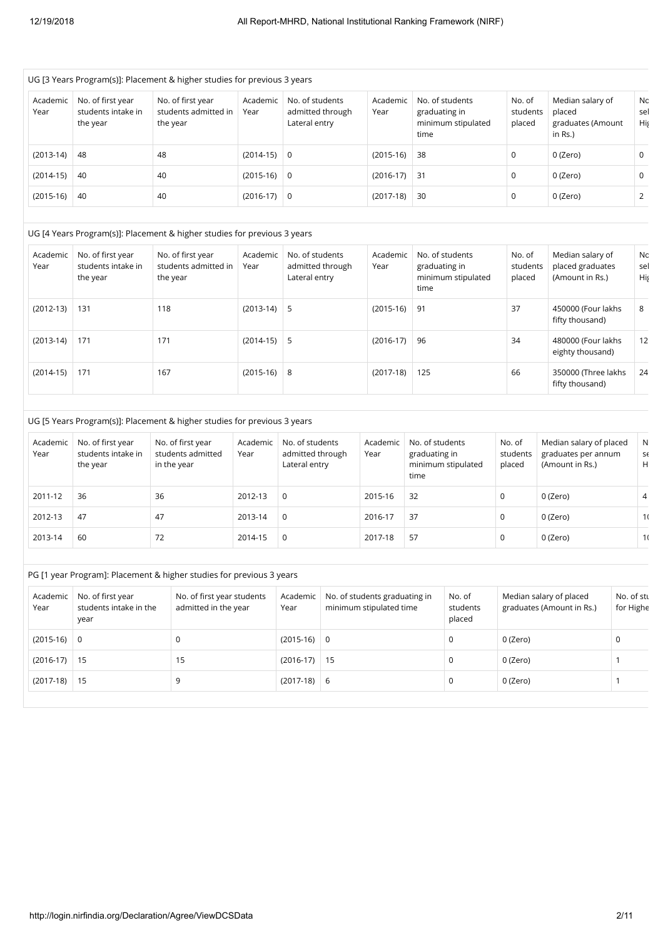|                  |                                                     | UG [3 Years Program(s)]: Placement & higher studies for previous 3 years |                  |                                                      |                                                          |                  |                                          |                                       |                                                      |                                                                   |                      |
|------------------|-----------------------------------------------------|--------------------------------------------------------------------------|------------------|------------------------------------------------------|----------------------------------------------------------|------------------|------------------------------------------|---------------------------------------|------------------------------------------------------|-------------------------------------------------------------------|----------------------|
| Academic<br>Year | No. of first year<br>students intake in<br>the year | No. of first year<br>students admitted in<br>the year                    | Academic<br>Year | No. of students<br>Lateral entry                     | admitted through                                         | Academic<br>Year | graduating in<br>time                    | No. of students<br>minimum stipulated | No. of<br>students<br>placed                         | Median salary of<br>placed<br>graduates (Amount<br>in Rs.)        | Nc<br>sel<br>Hiş     |
| $(2013-14)$      | 48                                                  | 48                                                                       | $(2014-15)$      | $\mathbf 0$                                          |                                                          | $(2015-16)$      | 38                                       |                                       | $\mathsf 0$                                          | 0 (Zero)                                                          | 0                    |
| $(2014-15)$      | 40                                                  | 40                                                                       | $(2015-16)$      | $\mathbf 0$                                          |                                                          | $(2016-17)$      | 31                                       |                                       | 0                                                    | 0 (Zero)                                                          | 0                    |
| $(2015-16)$      | 40                                                  | 40                                                                       | $(2016-17)$      | $\mathbf 0$                                          |                                                          | $(2017-18)$      | 30                                       |                                       | 0                                                    | $0$ (Zero)                                                        | $\overline{2}$       |
|                  |                                                     | UG [4 Years Program(s)]: Placement & higher studies for previous 3 years |                  |                                                      |                                                          |                  |                                          |                                       |                                                      |                                                                   |                      |
|                  |                                                     |                                                                          |                  |                                                      |                                                          |                  |                                          |                                       |                                                      |                                                                   |                      |
| Academic<br>Year | No. of first year<br>students intake in<br>the year | No. of first year<br>students admitted in<br>the year                    | Academic<br>Year | No. of students<br>Lateral entry                     | admitted through                                         | Academic<br>Year | graduating in<br>time                    | No. of students<br>minimum stipulated | No. of<br>students<br>placed                         | Median salary of<br>placed graduates<br>(Amount in Rs.)           | Nc<br>sel<br>Hiş     |
| $(2012-13)$      | 131                                                 | 118                                                                      | $(2013-14)$      | 5                                                    |                                                          | $(2015-16)$      | 91                                       |                                       | 37                                                   | 450000 (Four lakhs<br>fifty thousand)                             | 8                    |
| $(2013-14)$      | 171                                                 | 171                                                                      | $(2014-15)$      | 5                                                    |                                                          | $(2016-17)$      | 96                                       |                                       | 34                                                   | 480000 (Four lakhs<br>eighty thousand)                            | 12                   |
| $(2014-15)$      | 171                                                 | 167                                                                      | $(2015-16)$      | 8                                                    |                                                          | $(2017-18)$      | 125                                      |                                       | 66                                                   | 350000 (Three lakhs<br>fifty thousand)                            | 24                   |
|                  |                                                     | UG [5 Years Program(s)]: Placement & higher studies for previous 3 years |                  |                                                      |                                                          |                  |                                          |                                       |                                                      |                                                                   |                      |
| Academic<br>Year | No. of first year<br>students intake in<br>the year | No. of first year<br>students admitted<br>in the year                    | Academic<br>Year | No. of students<br>admitted through<br>Lateral entry |                                                          | Academic<br>Year | No. of students<br>graduating in<br>time | minimum stipulated                    | No. of<br>students<br>placed                         | Median salary of placed<br>graduates per annum<br>(Amount in Rs.) | ${\sf N}$<br>Sť<br>H |
| 2011-12          | 36                                                  | 36                                                                       | 2012-13          | $\mathbf 0$                                          |                                                          | 2015-16          | 32                                       |                                       | $\mathbf 0$                                          | 0 (Zero)                                                          | 4                    |
| 2012-13          | 47                                                  | 47                                                                       | 2013-14          | $\mathbf 0$                                          |                                                          | 2016-17          | 37                                       |                                       | $\mathbf 0$                                          | 0 (Zero)                                                          | 1(                   |
| 2013-14          | 60                                                  | 72                                                                       | 2014-15          | $\mathbf 0$                                          |                                                          | 2017-18          | 57                                       |                                       | $\mathbf 0$                                          | 0 (Zero)                                                          | 1(                   |
|                  |                                                     | PG [1 year Program]: Placement & higher studies for previous 3 years     |                  |                                                      |                                                          |                  |                                          |                                       |                                                      |                                                                   |                      |
|                  |                                                     |                                                                          |                  |                                                      |                                                          |                  |                                          |                                       |                                                      |                                                                   |                      |
| Academic<br>Year | No. of first year<br>students intake in the         | No. of first year students<br>admitted in the year                       |                  | Academic<br>Year                                     | No. of students graduating in<br>minimum stipulated time |                  | No. of<br>students                       |                                       | Median salary of placed<br>graduates (Amount in Rs.) | No. of stu<br>for Highe                                           |                      |

| Academic<br>Year | NO. OF first year<br>students intake in the<br>year | No. of first year students<br>admitted in the year | Academic<br>Year | No. of students graduating in<br>minimum stipulated time | NO. OT<br>students<br>placed | Median salary of placed<br>graduates (Amount in Rs.) | NO. OT STL<br>for Highe |
|------------------|-----------------------------------------------------|----------------------------------------------------|------------------|----------------------------------------------------------|------------------------------|------------------------------------------------------|-------------------------|
| $(2015-16)$ 0    |                                                     |                                                    | $(2015-16)$      | 0                                                        |                              | 0 (Zero)                                             |                         |
| $(2016-17)$ 15   |                                                     | 15                                                 | $(2016-17)$      | 15                                                       |                              | 0 (Zero)                                             |                         |
| $(2017-18)$ 15   |                                                     |                                                    | $(2017-18)$      | -6                                                       |                              | 0 (Zero)                                             |                         |
|                  |                                                     |                                                    |                  |                                                          |                              |                                                      |                         |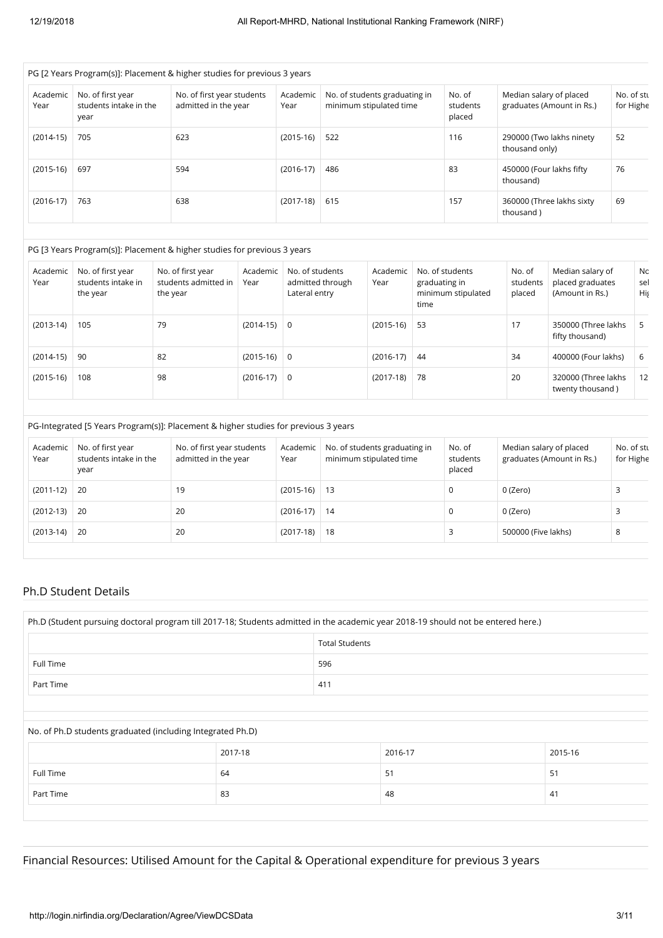|                  | PG [2 Years Program(s)]: Placement & higher studies for previous 3 years |                                                    |                  |                                                          |                              |                                                      |                         |  |  |  |
|------------------|--------------------------------------------------------------------------|----------------------------------------------------|------------------|----------------------------------------------------------|------------------------------|------------------------------------------------------|-------------------------|--|--|--|
| Academic<br>Year | No. of first year<br>students intake in the<br>year                      | No. of first year students<br>admitted in the year | Academic<br>Year | No. of students graduating in<br>minimum stipulated time | No. of<br>students<br>placed | Median salary of placed<br>graduates (Amount in Rs.) | No. of stu<br>for Highe |  |  |  |
| $(2014-15)$      | 705                                                                      | 623                                                | $(2015-16)$      | 522                                                      | 116                          | 290000 (Two lakhs ninety<br>thousand only)           | 52                      |  |  |  |
| $(2015-16)$      | 697                                                                      | 594                                                | $(2016-17)$      | 486                                                      | 83                           | 450000 (Four lakhs fifty<br>thousand)                | 76                      |  |  |  |
| $(2016-17)$      | 763                                                                      | 638                                                | $(2017-18)$      | 615                                                      | 157                          | 360000 (Three lakhs sixty<br>thousand)               | 69                      |  |  |  |

#### PG [3 Years Program(s)]: Placement & higher studies for previous 3 years

| Academic<br>Year | No. of first year<br>students intake in<br>the year | No. of first year<br>students admitted in<br>the year | Academic<br>Year | No. of students<br>admitted through<br>Lateral entry | Academic<br>Year | No. of students<br>graduating in<br>minimum stipulated<br>time | No. of<br>students<br>placed | Median salary of<br>placed graduates<br>(Amount in Rs.) | Nc<br>sel<br>Hiş |
|------------------|-----------------------------------------------------|-------------------------------------------------------|------------------|------------------------------------------------------|------------------|----------------------------------------------------------------|------------------------------|---------------------------------------------------------|------------------|
| $(2013-14)$      | 105                                                 | 79                                                    | $(2014-15)$      | $\overline{0}$                                       | $(2015-16)$      | 53                                                             | 17                           | 350000 (Three lakhs<br>fifty thousand)                  | 5                |
| $(2014-15)$      | -90                                                 | 82                                                    | $(2015-16)$ 0    |                                                      | $(2016-17)$      | 44                                                             | 34                           | 400000 (Four lakhs)                                     | 6                |
| $(2015-16)$      | 108                                                 | 98                                                    | $(2016-17)$ 0    |                                                      | $(2017-18)$      | 78                                                             | 20                           | 320000 (Three lakhs<br>twenty thousand)                 | 12               |

|                  |                                                     | PG-Integrated [5 Years Program(s)]: Placement & higher studies for previous 3 years |                  |                                                          |                              |                                                      |                         |
|------------------|-----------------------------------------------------|-------------------------------------------------------------------------------------|------------------|----------------------------------------------------------|------------------------------|------------------------------------------------------|-------------------------|
| Academic<br>Year | No. of first year<br>students intake in the<br>year | No. of first year students<br>admitted in the year                                  | Academic<br>Year | No. of students graduating in<br>minimum stipulated time | No. of<br>students<br>placed | Median salary of placed<br>graduates (Amount in Rs.) | No. of stu<br>for Highe |
| $(2011-12)$ 20   |                                                     | 19                                                                                  | $(2015-16)$      | $\vert$ 13                                               | 0                            | 0 (Zero)                                             |                         |
| $(2012-13)$      | -20                                                 | 20                                                                                  | $(2016-17)$      | 14                                                       | 0                            | 0 (Zero)                                             |                         |
| $(2013-14)$      | 20                                                  | 20                                                                                  | $(2017-18)$      | 18                                                       |                              | 500000 (Five lakhs)                                  | 8                       |

#### Ph.D Student Details

| Ph.D (Student pursuing doctoral program till 2017-18; Students admitted in the academic year 2018-19 should not be entered here.) |         |                       |         |         |  |  |
|-----------------------------------------------------------------------------------------------------------------------------------|---------|-----------------------|---------|---------|--|--|
|                                                                                                                                   |         | <b>Total Students</b> |         |         |  |  |
| Full Time                                                                                                                         |         | 596                   |         |         |  |  |
| Part Time                                                                                                                         | 411     |                       |         |         |  |  |
|                                                                                                                                   |         |                       |         |         |  |  |
| No. of Ph.D students graduated (including Integrated Ph.D)                                                                        |         |                       |         |         |  |  |
|                                                                                                                                   | 2017-18 |                       | 2016-17 | 2015-16 |  |  |
| Full Time                                                                                                                         | 64      |                       | 51      | 51      |  |  |
| Part Time                                                                                                                         | 83      |                       | 48      | 41      |  |  |
|                                                                                                                                   |         |                       |         |         |  |  |

Financial Resources: Utilised Amount for the Capital & Operational expenditure for previous 3 years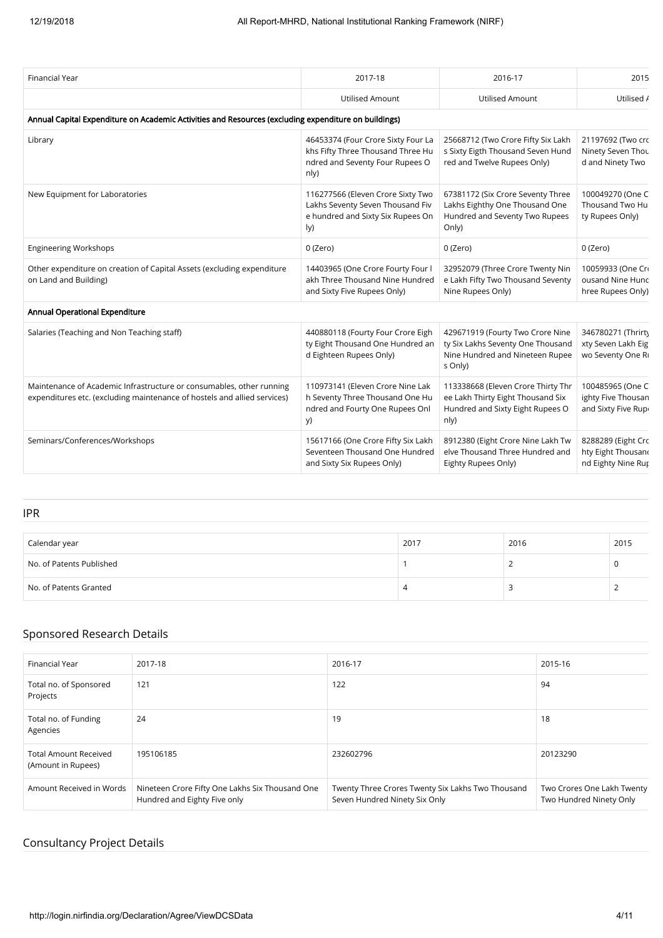| <b>Financial Year</b>                                                                                                                            | 2017-18                                                                                                            | 2016-17                                                                                                             | 2015                                                           |
|--------------------------------------------------------------------------------------------------------------------------------------------------|--------------------------------------------------------------------------------------------------------------------|---------------------------------------------------------------------------------------------------------------------|----------------------------------------------------------------|
|                                                                                                                                                  | <b>Utilised Amount</b>                                                                                             | <b>Utilised Amount</b>                                                                                              | Utilised /                                                     |
| Annual Capital Expenditure on Academic Activities and Resources (excluding expenditure on buildings)                                             |                                                                                                                    |                                                                                                                     |                                                                |
| Library                                                                                                                                          | 46453374 (Four Crore Sixty Four La<br>khs Fifty Three Thousand Three Hu<br>ndred and Seventy Four Rupees O<br>nly) | 25668712 (Two Crore Fifty Six Lakh<br>s Sixty Eigth Thousand Seven Hund<br>red and Twelve Rupees Only)              | 21197692 (Two crc<br>Ninety Seven Thou<br>d and Ninety Two     |
| New Equipment for Laboratories                                                                                                                   | 116277566 (Eleven Crore Sixty Two<br>Lakhs Seventy Seven Thousand Fiv<br>e hundred and Sixty Six Rupees On<br>ly)  | 67381172 (Six Crore Seventy Three<br>Lakhs Eighthy One Thousand One<br>Hundred and Seventy Two Rupees<br>Only)      | 100049270 (One C<br>Thousand Two Hu<br>ty Rupees Only)         |
| <b>Engineering Workshops</b>                                                                                                                     | 0 (Zero)                                                                                                           | 0 (Zero)                                                                                                            | 0 (Zero)                                                       |
| Other expenditure on creation of Capital Assets (excluding expenditure<br>on Land and Building)                                                  | 14403965 (One Crore Fourty Four I<br>akh Three Thousand Nine Hundred<br>and Sixty Five Rupees Only)                | 32952079 (Three Crore Twenty Nin<br>e Lakh Fifty Two Thousand Seventy<br>Nine Rupees Only)                          | 10059933 (One Cri<br>ousand Nine Hunc<br>hree Rupees Only)     |
| Annual Operational Expenditure                                                                                                                   |                                                                                                                    |                                                                                                                     |                                                                |
| Salaries (Teaching and Non Teaching staff)                                                                                                       | 440880118 (Fourty Four Crore Eigh<br>ty Eight Thousand One Hundred an<br>d Eighteen Rupees Only)                   | 429671919 (Fourty Two Crore Nine<br>ty Six Lakhs Seventy One Thousand<br>Nine Hundred and Nineteen Rupee<br>s Only) | 346780271 (Thrirt)<br>xty Seven Lakh Eig<br>wo Seventy One Ri  |
| Maintenance of Academic Infrastructure or consumables, other running<br>expenditures etc. (excluding maintenance of hostels and allied services) | 110973141 (Eleven Crore Nine Lak<br>h Seventy Three Thousand One Hu<br>ndred and Fourty One Rupees Onl<br>y)       | 113338668 (Eleven Crore Thirty Thr<br>ee Lakh Thirty Eight Thousand Six<br>Hundred and Sixty Eight Rupees O<br>nly) | 100485965 (One C<br>ighty Five Thousan<br>and Sixty Five Rup   |
| Seminars/Conferences/Workshops                                                                                                                   | 15617166 (One Crore Fifty Six Lakh<br>Seventeen Thousand One Hundred<br>and Sixty Six Rupees Only)                 | 8912380 (Eight Crore Nine Lakh Tw<br>elve Thousand Three Hundred and<br>Eighty Rupees Only)                         | 8288289 (Eight Crc<br>hty Eight Thousand<br>nd Eighty Nine Rup |
|                                                                                                                                                  |                                                                                                                    |                                                                                                                     |                                                                |

#### IPR

| Calendar year            | 2017 | 2016 | 2015 |
|--------------------------|------|------|------|
| No. of Patents Published |      |      |      |
| No. of Patents Granted   |      |      |      |

# Sponsored Research Details

| Financial Year                                     | 2017-18                                                                         | 2016-17                                                                            | 2015-16                                               |
|----------------------------------------------------|---------------------------------------------------------------------------------|------------------------------------------------------------------------------------|-------------------------------------------------------|
| Total no. of Sponsored<br>Projects                 | 121                                                                             | 122                                                                                | 94                                                    |
| Total no. of Funding<br>Agencies                   | 24                                                                              | 19                                                                                 | 18                                                    |
| <b>Total Amount Received</b><br>(Amount in Rupees) | 195106185                                                                       | 232602796                                                                          | 20123290                                              |
| Amount Received in Words                           | Nineteen Crore Fifty One Lakhs Six Thousand One<br>Hundred and Eighty Five only | Twenty Three Crores Twenty Six Lakhs Two Thousand<br>Seven Hundred Ninety Six Only | Two Crores One Lakh Twenty<br>Two Hundred Ninety Only |

# Consultancy Project Details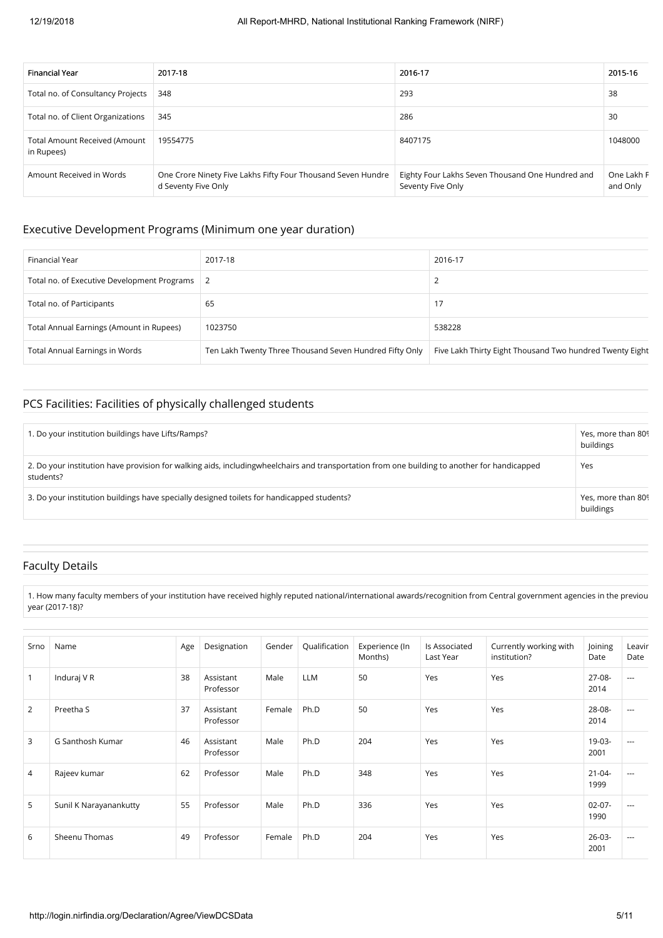| <b>Financial Year</b>                              | 2017-18                                                                             | 2016-17                                                               | 2015-16                |
|----------------------------------------------------|-------------------------------------------------------------------------------------|-----------------------------------------------------------------------|------------------------|
| Total no. of Consultancy Projects                  | 348                                                                                 | 293                                                                   | 38                     |
| Total no. of Client Organizations                  | 345                                                                                 | 286                                                                   | 30                     |
| <b>Total Amount Received (Amount</b><br>in Rupees) | 19554775                                                                            | 8407175                                                               | 1048000                |
| Amount Received in Words                           | One Crore Ninety Five Lakhs Fifty Four Thousand Seven Hundre<br>d Seventy Five Only | Eighty Four Lakhs Seven Thousand One Hundred and<br>Seventy Five Only | One Lakh F<br>and Only |

#### Executive Development Programs (Minimum one year duration)

| Financial Year                              | 2017-18                                                 | 2016-17                                                  |
|---------------------------------------------|---------------------------------------------------------|----------------------------------------------------------|
| Total no. of Executive Development Programs |                                                         |                                                          |
| Total no. of Participants                   | 65                                                      | 17                                                       |
| Total Annual Earnings (Amount in Rupees)    | 1023750                                                 | 538228                                                   |
| <b>Total Annual Earnings in Words</b>       | Ten Lakh Twenty Three Thousand Seven Hundred Fifty Only | Five Lakh Thirty Eight Thousand Two hundred Twenty Eight |

## PCS Facilities: Facilities of physically challenged students

| 1. Do your institution buildings have Lifts/Ramps?                                                                                                        | Yes, more than 809<br>buildings |
|-----------------------------------------------------------------------------------------------------------------------------------------------------------|---------------------------------|
| 2. Do your institution have provision for walking aids, includingwheelchairs and transportation from one building to another for handicapped<br>students? | Yes                             |
| 3. Do your institution buildings have specially designed toilets for handicapped students?                                                                | Yes, more than 809<br>buildings |

#### Faculty Details

1. How many faculty members of your institution have received highly reputed national/international awards/recognition from Central government agencies in the previou year (2017-18)?

| Srno         | Name                   | Age | Designation            | Gender | Qualification | Experience (In<br>Months) | Is Associated<br>Last Year | Currently working with<br>institution? | Joining<br>Date     | Leavir<br>Date |
|--------------|------------------------|-----|------------------------|--------|---------------|---------------------------|----------------------------|----------------------------------------|---------------------|----------------|
| $\mathbf{1}$ | Induraj V R            | 38  | Assistant<br>Professor | Male   | <b>LLM</b>    | 50                        | Yes                        | Yes                                    | $27-08-$<br>2014    | $\cdots$       |
| 2            | Preetha S              | 37  | Assistant<br>Professor | Female | Ph.D          | 50                        | Yes                        | Yes                                    | 28-08-<br>2014      | $---$          |
| 3            | G Santhosh Kumar       | 46  | Assistant<br>Professor | Male   | Ph.D          | 204                       | Yes                        | Yes                                    | 19-03-<br>2001      | $-$            |
| 4            | Rajeev kumar           | 62  | Professor              | Male   | Ph.D          | 348                       | Yes                        | Yes                                    | $21 - 04 -$<br>1999 | $---$          |
| 5            | Sunil K Narayanankutty | 55  | Professor              | Male   | Ph.D          | 336                       | Yes                        | Yes                                    | $02 - 07 -$<br>1990 | $---$          |
| 6            | Sheenu Thomas          | 49  | Professor              | Female | Ph.D          | 204                       | Yes                        | Yes                                    | $26 - 03 -$<br>2001 | $---$          |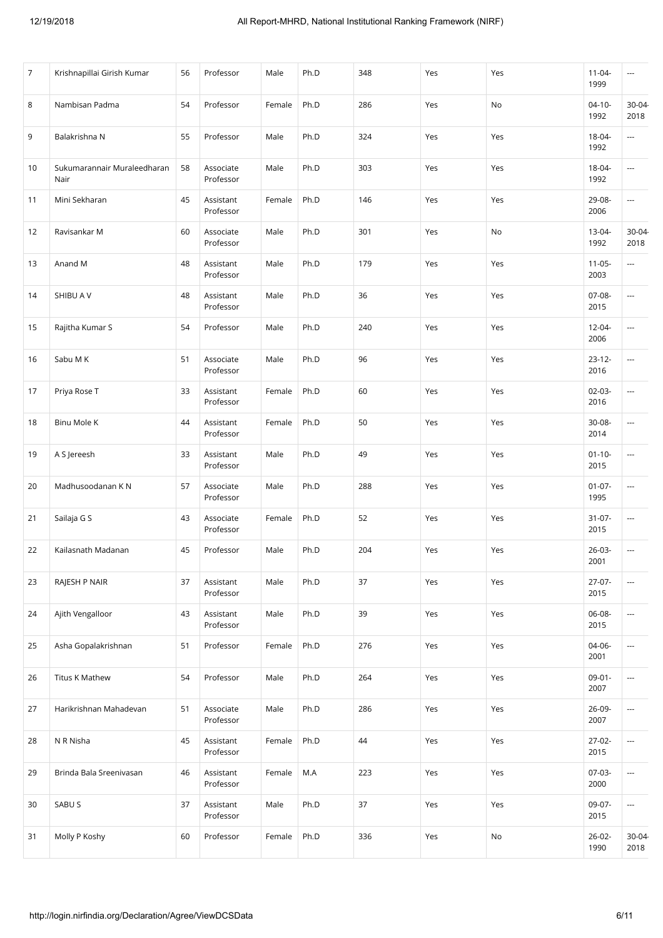| $\overline{7}$ | Krishnapillai Girish Kumar          | 56 | Professor              | Male   | Ph.D  | 348 | Yes | Yes | $11 - 04 -$<br>1999 | ---                      |
|----------------|-------------------------------------|----|------------------------|--------|-------|-----|-----|-----|---------------------|--------------------------|
| 8              | Nambisan Padma                      | 54 | Professor              | Female | Ph.D  | 286 | Yes | No  | $04 - 10 -$<br>1992 | 30-04<br>2018            |
| 9              | Balakrishna N                       | 55 | Professor              | Male   | Ph.D  | 324 | Yes | Yes | 18-04-<br>1992      | ---                      |
| 10             | Sukumarannair Muraleedharan<br>Nair | 58 | Associate<br>Professor | Male   | Ph.D  | 303 | Yes | Yes | 18-04-<br>1992      | ---                      |
| 11             | Mini Sekharan                       | 45 | Assistant<br>Professor | Female | Ph.D  | 146 | Yes | Yes | 29-08-<br>2006      | $\overline{\phantom{a}}$ |
| 12             | Ravisankar M                        | 60 | Associate<br>Professor | Male   | Ph.D  | 301 | Yes | No  | $13-04-$<br>1992    | $30-04$<br>2018          |
| 13             | Anand M                             | 48 | Assistant<br>Professor | Male   | Ph.D  | 179 | Yes | Yes | $11 - 05 -$<br>2003 | ---                      |
| 14             | SHIBU A V                           | 48 | Assistant<br>Professor | Male   | Ph.D  | 36  | Yes | Yes | 07-08-<br>2015      | ---                      |
| 15             | Rajitha Kumar S                     | 54 | Professor              | Male   | Ph.D  | 240 | Yes | Yes | $12 - 04 -$<br>2006 | $\overline{\phantom{a}}$ |
| 16             | Sabu M K                            | 51 | Associate<br>Professor | Male   | Ph.D  | 96  | Yes | Yes | $23 - 12 -$<br>2016 | ---                      |
| 17             | Priya Rose T                        | 33 | Assistant<br>Professor | Female | Ph.D  | 60  | Yes | Yes | $02-03-$<br>2016    | ---                      |
| 18             | Binu Mole K                         | 44 | Assistant<br>Professor | Female | Ph.D  | 50  | Yes | Yes | 30-08-<br>2014      | ---                      |
| 19             | A S Jereesh                         | 33 | Assistant<br>Professor | Male   | Ph.D  | 49  | Yes | Yes | $01 - 10 -$<br>2015 | ---                      |
| 20             | Madhusoodanan K N                   | 57 | Associate<br>Professor | Male   | Ph.D  | 288 | Yes | Yes | $01 - 07 -$<br>1995 | ---                      |
| 21             | Sailaja G S                         | 43 | Associate<br>Professor | Female | Ph.D  | 52  | Yes | Yes | $31 - 07 -$<br>2015 | ---                      |
| 22             | Kailasnath Madanan                  | 45 | Professor              | Male   | Ph.D  | 204 | Yes | Yes | $26-03-$<br>2001    | ---                      |
| 23             | RAJESH P NAIR                       | 37 | Assistant<br>Professor | Male   | Ph.D  | 37  | Yes | Yes | $27-07-$<br>2015    | ---                      |
| 24             | Ajith Vengalloor                    | 43 | Assistant<br>Professor | Male   | Ph.D  | 39  | Yes | Yes | 06-08-<br>2015      | ---                      |
| 25             | Asha Gopalakrishnan                 | 51 | Professor              | Female | Ph.D  | 276 | Yes | Yes | 04-06-<br>2001      | ---                      |
| 26             | <b>Titus K Mathew</b>               | 54 | Professor              | Male   | Ph.D  | 264 | Yes | Yes | $09-01-$<br>2007    | ---                      |
| 27             | Harikrishnan Mahadevan              | 51 | Associate<br>Professor | Male   | Ph.D  | 286 | Yes | Yes | 26-09-<br>2007      | ---                      |
| 28             | N R Nisha                           | 45 | Assistant<br>Professor | Female | Ph.D  | 44  | Yes | Yes | $27-02-$<br>2015    | ---                      |
| 29             | Brinda Bala Sreenivasan             | 46 | Assistant<br>Professor | Female | $M.A$ | 223 | Yes | Yes | 07-03-<br>2000      | ---                      |
| 30             | SABU S                              | 37 | Assistant<br>Professor | Male   | Ph.D  | 37  | Yes | Yes | 09-07-<br>2015      | $\overline{\phantom{a}}$ |
| 31             | Molly P Koshy                       | 60 | Professor              | Female | Ph.D  | 336 | Yes | No  | $26 - 02 -$<br>1990 | $30-04$<br>2018          |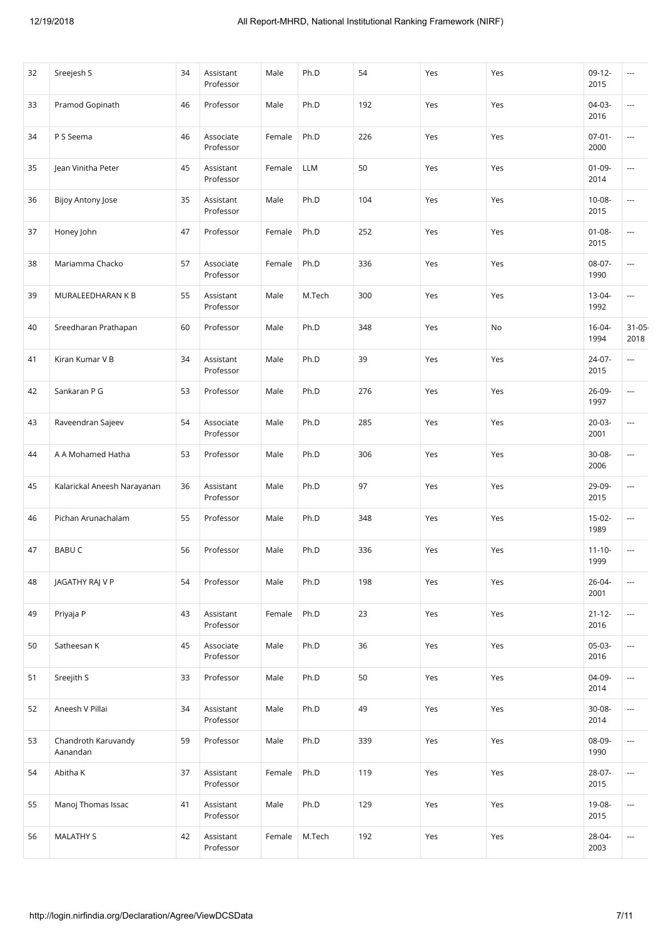| 32 | Sreejesh S                      | 34 | Assistant<br>Professor | Male   | Ph.D   | 54  | Yes | Yes | $09-12-$<br>2015    | ---                      |
|----|---------------------------------|----|------------------------|--------|--------|-----|-----|-----|---------------------|--------------------------|
| 33 | Pramod Gopinath                 | 46 | Professor              | Male   | Ph.D   | 192 | Yes | Yes | 04-03-<br>2016      | $\overline{a}$           |
| 34 | P S Seema                       | 46 | Associate<br>Professor | Female | Ph.D   | 226 | Yes | Yes | $07 - 01 -$<br>2000 | ---                      |
| 35 | Jean Vinitha Peter              | 45 | Assistant<br>Professor | Female | LLM    | 50  | Yes | Yes | $01-09-$<br>2014    | ---                      |
| 36 | Bijoy Antony Jose               | 35 | Assistant<br>Professor | Male   | Ph.D   | 104 | Yes | Yes | $10 - 08 -$<br>2015 | ---                      |
| 37 | Honey John                      | 47 | Professor              | Female | Ph.D   | 252 | Yes | Yes | $01 - 08 -$<br>2015 | ---                      |
| 38 | Mariamma Chacko                 | 57 | Associate<br>Professor | Female | Ph.D   | 336 | Yes | Yes | 08-07-<br>1990      | ---                      |
| 39 | MURALEEDHARAN K B               | 55 | Assistant<br>Professor | Male   | M.Tech | 300 | Yes | Yes | 13-04-<br>1992      | ---                      |
| 40 | Sreedharan Prathapan            | 60 | Professor              | Male   | Ph.D   | 348 | Yes | No  | $16 - 04 -$<br>1994 | $31 - 05$<br>2018        |
| 41 | Kiran Kumar V B                 | 34 | Assistant<br>Professor | Male   | Ph.D   | 39  | Yes | Yes | 24-07-<br>2015      | ---                      |
| 42 | Sankaran P G                    | 53 | Professor              | Male   | Ph.D   | 276 | Yes | Yes | 26-09-<br>1997      | ---                      |
| 43 | Raveendran Sajeev               | 54 | Associate<br>Professor | Male   | Ph.D   | 285 | Yes | Yes | $20-03-$<br>2001    | ---                      |
| 44 | A A Mohamed Hatha               | 53 | Professor              | Male   | Ph.D   | 306 | Yes | Yes | 30-08-<br>2006      | $\overline{a}$           |
| 45 | Kalarickal Aneesh Narayanan     | 36 | Assistant<br>Professor | Male   | Ph.D   | 97  | Yes | Yes | 29-09-<br>2015      | ---                      |
| 46 | Pichan Arunachalam              | 55 | Professor              | Male   | Ph.D   | 348 | Yes | Yes | $15-02-$<br>1989    | $\overline{a}$           |
| 47 | <b>BABUC</b>                    | 56 | Professor              | Male   | Ph.D   | 336 | Yes | Yes | $11 - 10 -$<br>1999 | ---                      |
| 48 | JAGATHY RAJ V P                 | 54 | Professor              | Male   | Ph.D   | 198 | Yes | Yes | $26 - 04 -$<br>2001 | ---                      |
| 49 | Priyaja P                       | 43 | Assistant<br>Professor | Female | Ph.D   | 23  | Yes | Yes | $21 - 12 -$<br>2016 | $\overline{\phantom{a}}$ |
| 50 | Satheesan K                     | 45 | Associate<br>Professor | Male   | Ph.D   | 36  | Yes | Yes | $05-03-$<br>2016    | ---                      |
| 51 | Sreejith S                      | 33 | Professor              | Male   | Ph.D   | 50  | Yes | Yes | 04-09-<br>2014      | ---                      |
| 52 | Aneesh V Pillai                 | 34 | Assistant<br>Professor | Male   | Ph.D   | 49  | Yes | Yes | 30-08-<br>2014      | ---                      |
| 53 | Chandroth Karuvandy<br>Aanandan | 59 | Professor              | Male   | Ph.D   | 339 | Yes | Yes | 08-09-<br>1990      | $\overline{\phantom{a}}$ |
| 54 | Abitha K                        | 37 | Assistant<br>Professor | Female | Ph.D   | 119 | Yes | Yes | $28-07-$<br>2015    | ---                      |
| 55 | Manoj Thomas Issac              | 41 | Assistant<br>Professor | Male   | Ph.D   | 129 | Yes | Yes | 19-08-<br>2015      | ---                      |
| 56 | <b>MALATHY S</b>                | 42 | Assistant<br>Professor | Female | M.Tech | 192 | Yes | Yes | 28-04-<br>2003      | $\overline{\phantom{a}}$ |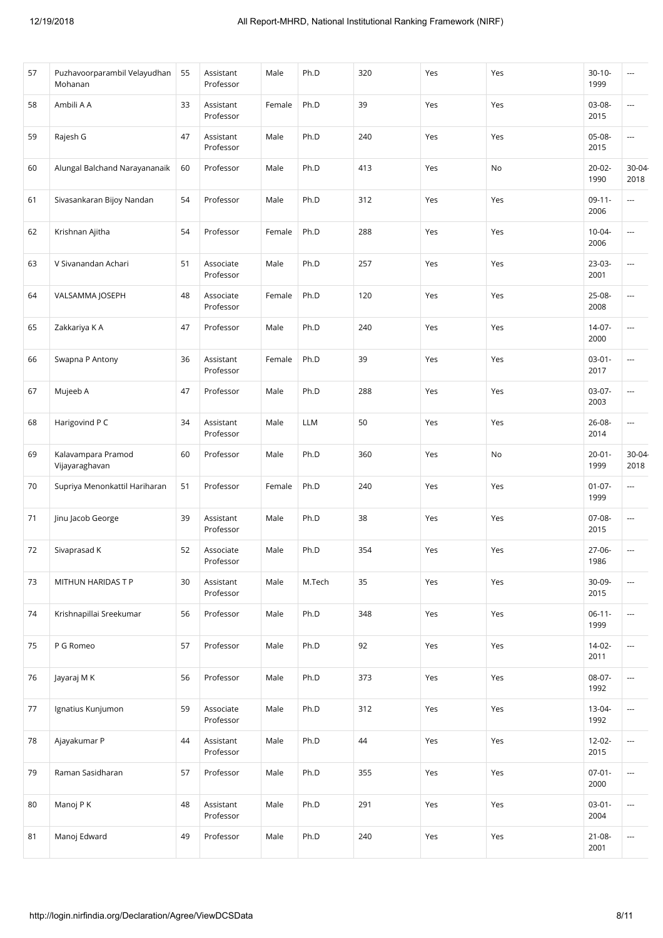| 57 | Puzhavoorparambil Velayudhan<br>Mohanan | 55 | Assistant<br>Professor | Male   | Ph.D       | 320 | Yes | Yes | $30 - 10 -$<br>1999 | ---                      |
|----|-----------------------------------------|----|------------------------|--------|------------|-----|-----|-----|---------------------|--------------------------|
| 58 | Ambili A A                              | 33 | Assistant<br>Professor | Female | Ph.D       | 39  | Yes | Yes | 03-08-<br>2015      | ---                      |
| 59 | Rajesh G                                | 47 | Assistant<br>Professor | Male   | Ph.D       | 240 | Yes | Yes | 05-08-<br>2015      | ---                      |
| 60 | Alungal Balchand Narayananaik           | 60 | Professor              | Male   | Ph.D       | 413 | Yes | No  | $20 - 02 -$<br>1990 | $30-04$<br>2018          |
| 61 | Sivasankaran Bijoy Nandan               | 54 | Professor              | Male   | Ph.D       | 312 | Yes | Yes | $09-11-$<br>2006    | ---                      |
| 62 | Krishnan Ajitha                         | 54 | Professor              | Female | Ph.D       | 288 | Yes | Yes | $10 - 04 -$<br>2006 | ---                      |
| 63 | V Sivanandan Achari                     | 51 | Associate<br>Professor | Male   | Ph.D       | 257 | Yes | Yes | 23-03-<br>2001      | ---                      |
| 64 | VALSAMMA JOSEPH                         | 48 | Associate<br>Professor | Female | Ph.D       | 120 | Yes | Yes | 25-08-<br>2008      | ---                      |
| 65 | Zakkariya K A                           | 47 | Professor              | Male   | Ph.D       | 240 | Yes | Yes | $14-07-$<br>2000    | ---                      |
| 66 | Swapna P Antony                         | 36 | Assistant<br>Professor | Female | Ph.D       | 39  | Yes | Yes | $03-01-$<br>2017    | ---                      |
| 67 | Mujeeb A                                | 47 | Professor              | Male   | Ph.D       | 288 | Yes | Yes | $03-07-$<br>2003    | ---                      |
| 68 | Harigovind P C                          | 34 | Assistant<br>Professor | Male   | <b>LLM</b> | 50  | Yes | Yes | 26-08-<br>2014      | ---                      |
| 69 | Kalavampara Pramod<br>Vijayaraghavan    | 60 | Professor              | Male   | Ph.D       | 360 | Yes | No  | $20 - 01 -$<br>1999 | $30-04$<br>2018          |
| 70 | Supriya Menonkattil Hariharan           | 51 | Professor              | Female | Ph.D       | 240 | Yes | Yes | $01-07-$<br>1999    | ---                      |
| 71 | Jinu Jacob George                       | 39 | Assistant<br>Professor | Male   | Ph.D       | 38  | Yes | Yes | $07-08-$<br>2015    | ---                      |
| 72 | Sivaprasad K                            | 52 | Associate<br>Professor | Male   | Ph.D       | 354 | Yes | Yes | $27-06-$<br>1986    | ---                      |
| 73 | MITHUN HARIDAS T P                      | 30 | Assistant<br>Professor | Male   | M.Tech     | 35  | Yes | Yes | 30-09-<br>2015      | ---                      |
| 74 | Krishnapillai Sreekumar                 | 56 | Professor              | Male   | Ph.D       | 348 | Yes | Yes | $06-11-$<br>1999    | ---                      |
| 75 | P G Romeo                               | 57 | Professor              | Male   | Ph.D       | 92  | Yes | Yes | $14-02-$<br>2011    | ---                      |
| 76 | Jayaraj M K                             | 56 | Professor              | Male   | Ph.D       | 373 | Yes | Yes | 08-07-<br>1992      | $\overline{\phantom{a}}$ |
| 77 | Ignatius Kunjumon                       | 59 | Associate<br>Professor | Male   | Ph.D       | 312 | Yes | Yes | 13-04-<br>1992      | ---                      |
| 78 | Ajayakumar P                            | 44 | Assistant<br>Professor | Male   | Ph.D       | 44  | Yes | Yes | 12-02-<br>2015      | $\overline{\phantom{a}}$ |
| 79 | Raman Sasidharan                        | 57 | Professor              | Male   | Ph.D       | 355 | Yes | Yes | $07 - 01 -$<br>2000 | ---                      |
| 80 | Manoj P K                               | 48 | Assistant<br>Professor | Male   | Ph.D       | 291 | Yes | Yes | $03 - 01 -$<br>2004 | ---                      |
| 81 | Manoj Edward                            | 49 | Professor              | Male   | Ph.D       | 240 | Yes | Yes | $21 - 08 -$<br>2001 | ---                      |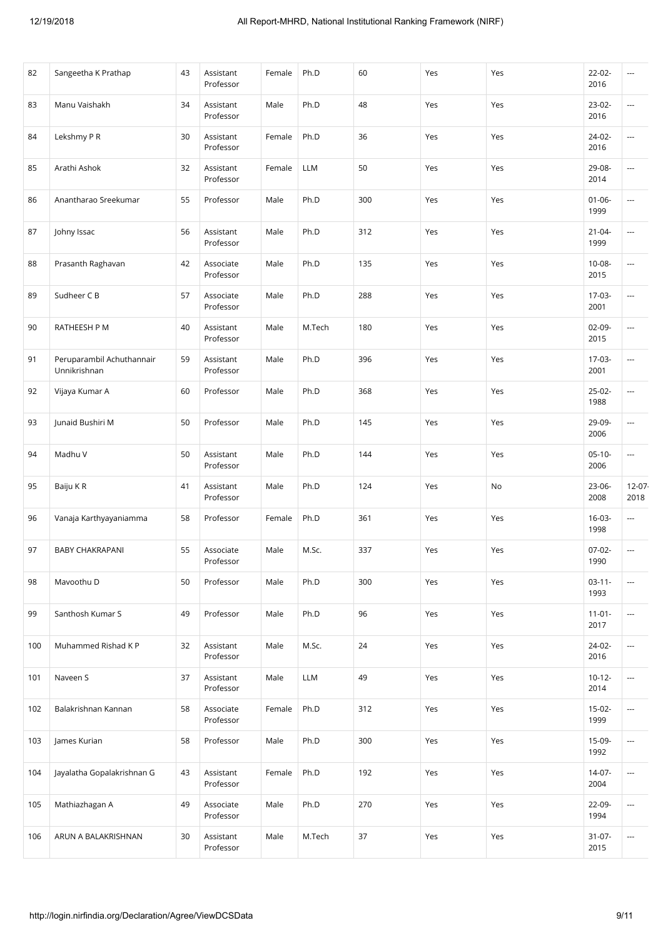| 82  | Sangeetha K Prathap                       | 43 | Assistant<br>Professor | Female | Ph.D   | 60  | Yes | Yes | $22 - 02 -$<br>2016 | ---                      |
|-----|-------------------------------------------|----|------------------------|--------|--------|-----|-----|-----|---------------------|--------------------------|
| 83  | Manu Vaishakh                             | 34 | Assistant<br>Professor | Male   | Ph.D   | 48  | Yes | Yes | $23-02-$<br>2016    | ---                      |
| 84  | Lekshmy P R                               | 30 | Assistant<br>Professor | Female | Ph.D   | 36  | Yes | Yes | 24-02-<br>2016      | ---                      |
| 85  | Arathi Ashok                              | 32 | Assistant<br>Professor | Female | LLM    | 50  | Yes | Yes | 29-08-<br>2014      | ---                      |
| 86  | Anantharao Sreekumar                      | 55 | Professor              | Male   | Ph.D   | 300 | Yes | Yes | $01 - 06 -$<br>1999 | ---                      |
| 87  | Johny Issac                               | 56 | Assistant<br>Professor | Male   | Ph.D   | 312 | Yes | Yes | $21 - 04 -$<br>1999 | $\overline{\phantom{a}}$ |
| 88  | Prasanth Raghavan                         | 42 | Associate<br>Professor | Male   | Ph.D   | 135 | Yes | Yes | 10-08-<br>2015      | ---                      |
| 89  | Sudheer C B                               | 57 | Associate<br>Professor | Male   | Ph.D   | 288 | Yes | Yes | 17-03-<br>2001      | ---                      |
| 90  | RATHEESH P M                              | 40 | Assistant<br>Professor | Male   | M.Tech | 180 | Yes | Yes | $02-09-$<br>2015    | $\overline{a}$           |
| 91  | Peruparambil Achuthannair<br>Unnikrishnan | 59 | Assistant<br>Professor | Male   | Ph.D   | 396 | Yes | Yes | 17-03-<br>2001      | ---                      |
| 92  | Vijaya Kumar A                            | 60 | Professor              | Male   | Ph.D   | 368 | Yes | Yes | $25-02-$<br>1988    | ---                      |
| 93  | Junaid Bushiri M                          | 50 | Professor              | Male   | Ph.D   | 145 | Yes | Yes | 29-09-<br>2006      | ---                      |
| 94  | Madhu V                                   | 50 | Assistant<br>Professor | Male   | Ph.D   | 144 | Yes | Yes | $05-10-$<br>2006    | $\overline{\phantom{a}}$ |
| 95  | Baiju KR                                  | 41 | Assistant<br>Professor | Male   | Ph.D   | 124 | Yes | No  | $23-06-$<br>2008    | $12-07$<br>2018          |
| 96  | Vanaja Karthyayaniamma                    | 58 | Professor              | Female | Ph.D   | 361 | Yes | Yes | $16-03-$<br>1998    | $\overline{\phantom{a}}$ |
| 97  | <b>BABY CHAKRAPANI</b>                    | 55 | Associate<br>Professor | Male   | M.Sc.  | 337 | Yes | Yes | $07-02-$<br>1990    | ---                      |
| 98  | Mavoothu D                                | 50 | Professor              | Male   | Ph.D   | 300 | Yes | Yes | $03 - 11 -$<br>1993 | $\overline{a}$           |
| 99  | Santhosh Kumar S                          | 49 | Professor              | Male   | Ph.D   | 96  | Yes | Yes | $11-01-$<br>2017    | $\overline{\phantom{a}}$ |
| 100 | Muhammed Rishad K P                       | 32 | Assistant<br>Professor | Male   | M.Sc.  | 24  | Yes | Yes | $24-02-$<br>2016    | $\overline{a}$           |
| 101 | Naveen S                                  | 37 | Assistant<br>Professor | Male   | LLM    | 49  | Yes | Yes | $10-12-$<br>2014    | ---                      |
| 102 | Balakrishnan Kannan                       | 58 | Associate<br>Professor | Female | Ph.D   | 312 | Yes | Yes | $15-02-$<br>1999    | $\overline{\phantom{a}}$ |
| 103 | James Kurian                              | 58 | Professor              | Male   | Ph.D   | 300 | Yes | Yes | 15-09-<br>1992      | ---                      |
| 104 | Jayalatha Gopalakrishnan G                | 43 | Assistant<br>Professor | Female | Ph.D   | 192 | Yes | Yes | $14-07-$<br>2004    | $\overline{\phantom{a}}$ |
| 105 | Mathiazhagan A                            | 49 | Associate<br>Professor | Male   | Ph.D   | 270 | Yes | Yes | 22-09-<br>1994      | ---                      |
| 106 | ARUN A BALAKRISHNAN                       | 30 | Assistant<br>Professor | Male   | M.Tech | 37  | Yes | Yes | $31-07-$<br>2015    | $\overline{\phantom{a}}$ |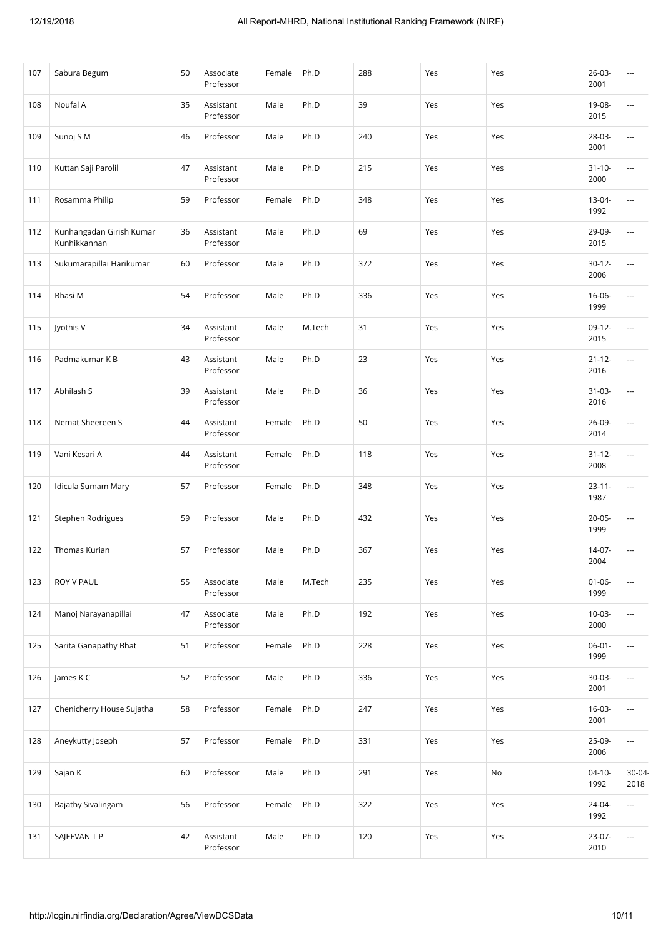| 107 | Sabura Begum                             | 50 | Associate<br>Professor | Female | Ph.D   | 288 | Yes | Yes | $26 - 03 -$<br>2001 | ---                      |
|-----|------------------------------------------|----|------------------------|--------|--------|-----|-----|-----|---------------------|--------------------------|
| 108 | Noufal A                                 | 35 | Assistant<br>Professor | Male   | Ph.D   | 39  | Yes | Yes | 19-08-<br>2015      | ---                      |
| 109 | Sunoj SM                                 | 46 | Professor              | Male   | Ph.D   | 240 | Yes | Yes | 28-03-<br>2001      | ---                      |
| 110 | Kuttan Saji Parolil                      | 47 | Assistant<br>Professor | Male   | Ph.D   | 215 | Yes | Yes | $31 - 10 -$<br>2000 | ---                      |
| 111 | Rosamma Philip                           | 59 | Professor              | Female | Ph.D   | 348 | Yes | Yes | 13-04-<br>1992      | ---                      |
| 112 | Kunhangadan Girish Kumar<br>Kunhikkannan | 36 | Assistant<br>Professor | Male   | Ph.D   | 69  | Yes | Yes | 29-09-<br>2015      | $\overline{\phantom{a}}$ |
| 113 | Sukumarapillai Harikumar                 | 60 | Professor              | Male   | Ph.D   | 372 | Yes | Yes | $30-12-$<br>2006    | ---                      |
| 114 | Bhasi M                                  | 54 | Professor              | Male   | Ph.D   | 336 | Yes | Yes | $16 - 06 -$<br>1999 | ---                      |
| 115 | Jyothis V                                | 34 | Assistant<br>Professor | Male   | M.Tech | 31  | Yes | Yes | $09-12-$<br>2015    | ---                      |
| 116 | Padmakumar K B                           | 43 | Assistant<br>Professor | Male   | Ph.D   | 23  | Yes | Yes | $21 - 12 -$<br>2016 | ---                      |
| 117 | Abhilash S                               | 39 | Assistant<br>Professor | Male   | Ph.D   | 36  | Yes | Yes | $31-03-$<br>2016    | $\overline{\phantom{a}}$ |
| 118 | Nemat Sheereen S                         | 44 | Assistant<br>Professor | Female | Ph.D   | 50  | Yes | Yes | 26-09-<br>2014      | ---                      |
| 119 | Vani Kesari A                            | 44 | Assistant<br>Professor | Female | Ph.D   | 118 | Yes | Yes | $31 - 12 -$<br>2008 | ---                      |
| 120 | Idicula Sumam Mary                       | 57 | Professor              | Female | Ph.D   | 348 | Yes | Yes | $23 - 11 -$<br>1987 | $\overline{\phantom{a}}$ |
| 121 | Stephen Rodrigues                        | 59 | Professor              | Male   | Ph.D   | 432 | Yes | Yes | $20 - 05 -$<br>1999 | $\overline{\phantom{a}}$ |
| 122 | Thomas Kurian                            | 57 | Professor              | Male   | Ph.D   | 367 | Yes | Yes | 14-07-<br>2004      | ---                      |
| 123 | ROY V PAUL                               | 55 | Associate<br>Professor | Male   | M.Tech | 235 | Yes | Yes | $01 - 06 -$<br>1999 | $\overline{\phantom{a}}$ |
| 124 | Manoj Narayanapillai                     | 47 | Associate<br>Professor | Male   | Ph.D   | 192 | Yes | Yes | $10-03-$<br>2000    | ---                      |
| 125 | Sarita Ganapathy Bhat                    | 51 | Professor              | Female | Ph.D   | 228 | Yes | Yes | $06 - 01 -$<br>1999 | $\overline{\phantom{a}}$ |
| 126 | James K C                                | 52 | Professor              | Male   | Ph.D   | 336 | Yes | Yes | $30-03-$<br>2001    | ---                      |
| 127 | Chenicherry House Sujatha                | 58 | Professor              | Female | Ph.D   | 247 | Yes | Yes | $16 - 03 -$<br>2001 | $\overline{\phantom{a}}$ |
| 128 | Aneykutty Joseph                         | 57 | Professor              | Female | Ph.D   | 331 | Yes | Yes | 25-09-<br>2006      | $\overline{\phantom{a}}$ |
| 129 | Sajan K                                  | 60 | Professor              | Male   | Ph.D   | 291 | Yes | No  | $04-10-$<br>1992    | 30-04<br>2018            |
| 130 | Rajathy Sivalingam                       | 56 | Professor              | Female | Ph.D   | 322 | Yes | Yes | $24 - 04 -$<br>1992 | ---                      |
| 131 | SAJEEVAN T P                             | 42 | Assistant<br>Professor | Male   | Ph.D   | 120 | Yes | Yes | $23-07-$<br>2010    | $\overline{\phantom{a}}$ |